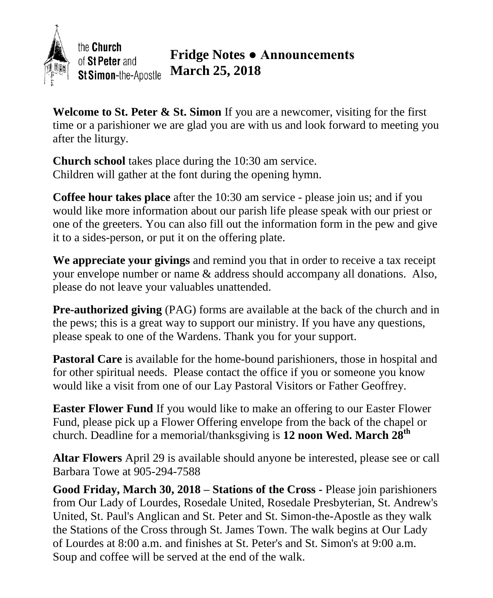

**Welcome to St. Peter & St. Simon** If you are a newcomer, visiting for the first time or a parishioner we are glad you are with us and look forward to meeting you after the liturgy.

**Church school** takes place during the 10:30 am service. Children will gather at the font during the opening hymn.

**Coffee hour takes place** after the 10:30 am service - please join us; and if you would like more information about our parish life please speak with our priest or one of the greeters. You can also fill out the information form in the pew and give it to a sides-person, or put it on the offering plate.

**We appreciate your givings** and remind you that in order to receive a tax receipt your envelope number or name & address should accompany all donations. Also, please do not leave your valuables unattended.

**Pre-authorized giving** (PAG) forms are available at the back of the church and in the pews; this is a great way to support our ministry. If you have any questions, please speak to one of the Wardens. Thank you for your support.

**Pastoral Care** is available for the home-bound parishioners, those in hospital and for other spiritual needs. Please contact the office if you or someone you know would like a visit from one of our Lay Pastoral Visitors or Father Geoffrey.

**Easter Flower Fund** If you would like to make an offering to our Easter Flower Fund, please pick up a Flower Offering envelope from the back of the chapel or church. Deadline for a memorial/thanksgiving is **12 noon Wed. March 28th**

**Altar Flowers** April 29 is available should anyone be interested, please see or call Barbara Towe at 905-294-7588

**Good Friday, March 30, 2018 – Stations of the Cross -** Please join parishioners from Our Lady of Lourdes, Rosedale United, Rosedale Presbyterian, St. Andrew's United, St. Paul's Anglican and St. Peter and St. Simon-the-Apostle as they walk the Stations of the Cross through St. James Town. The walk begins at Our Lady of Lourdes at 8:00 a.m. and finishes at St. Peter's and St. Simon's at 9:00 a.m. Soup and coffee will be served at the end of the walk.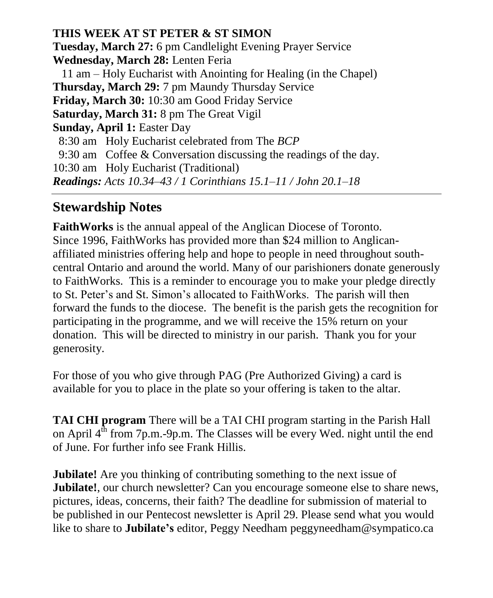**THIS WEEK AT ST PETER & ST SIMON Tuesday, March 27:** 6 pm Candlelight Evening Prayer Service **Wednesday, March 28:** Lenten Feria 11 am – Holy Eucharist with Anointing for Healing (in the Chapel) **Thursday, March 29:** 7 pm Maundy Thursday Service **Friday, March 30:** 10:30 am Good Friday Service **Saturday, March 31:** 8 pm The Great Vigil **Sunday, April 1:** Easter Day 8:30 am Holy Eucharist celebrated from The *BCP* 9:30 am Coffee & Conversation discussing the readings of the day. 10:30 am Holy Eucharist (Traditional) *Readings: Acts 10.34–43 / 1 Corinthians 15.1–11 / John 20.1–18*

## **Stewardship Notes**

**FaithWorks** is the annual appeal of the Anglican Diocese of Toronto. Since 1996, FaithWorks has provided more than \$24 million to Anglicanaffiliated ministries offering help and hope to people in need throughout southcentral Ontario and around the world. Many of our parishioners donate generously to FaithWorks. This is a reminder to encourage you to make your pledge directly to St. Peter's and St. Simon's allocated to FaithWorks. The parish will then forward the funds to the diocese. The benefit is the parish gets the recognition for participating in the programme, and we will receive the 15% return on your donation. This will be directed to ministry in our parish. Thank you for your generosity.

For those of you who give through PAG (Pre Authorized Giving) a card is available for you to place in the plate so your offering is taken to the altar.

**TAI CHI program** There will be a TAI CHI program starting in the Parish Hall on April  $4<sup>th</sup>$  from 7p.m.-9p.m. The Classes will be every Wed. night until the end of June. For further info see Frank Hillis.

**Jubilate!** Are you thinking of contributing something to the next issue of **Jubilate!**, our church newsletter? Can you encourage someone else to share news, pictures, ideas, concerns, their faith? The deadline for submission of material to be published in our Pentecost newsletter is April 29. Please send what you would like to share to **Jubilate's** editor, Peggy Needham peggyneedham@sympatico.ca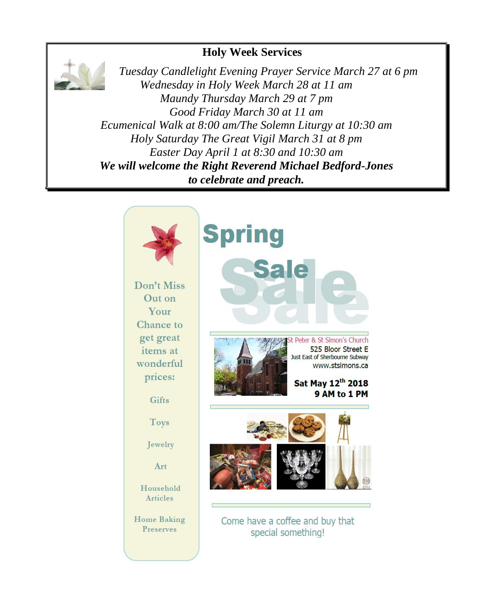## **Holy Week Services**



 *Tuesday Candlelight Evening Prayer Service March 27 at 6 pm Wednesday in Holy Week March 28 at 11 am Maundy Thursday March 29 at 7 pm Good Friday March 30 at 11 am Ecumenical Walk at 8:00 am/The Solemn Liturgy at 10:30 am Holy Saturday The Great Vigil March 31 at 8 pm Easter Day April 1 at 8:30 and 10:30 am We will welcome the Right Reverend Michael Bedford-Jones to celebrate and preach.*